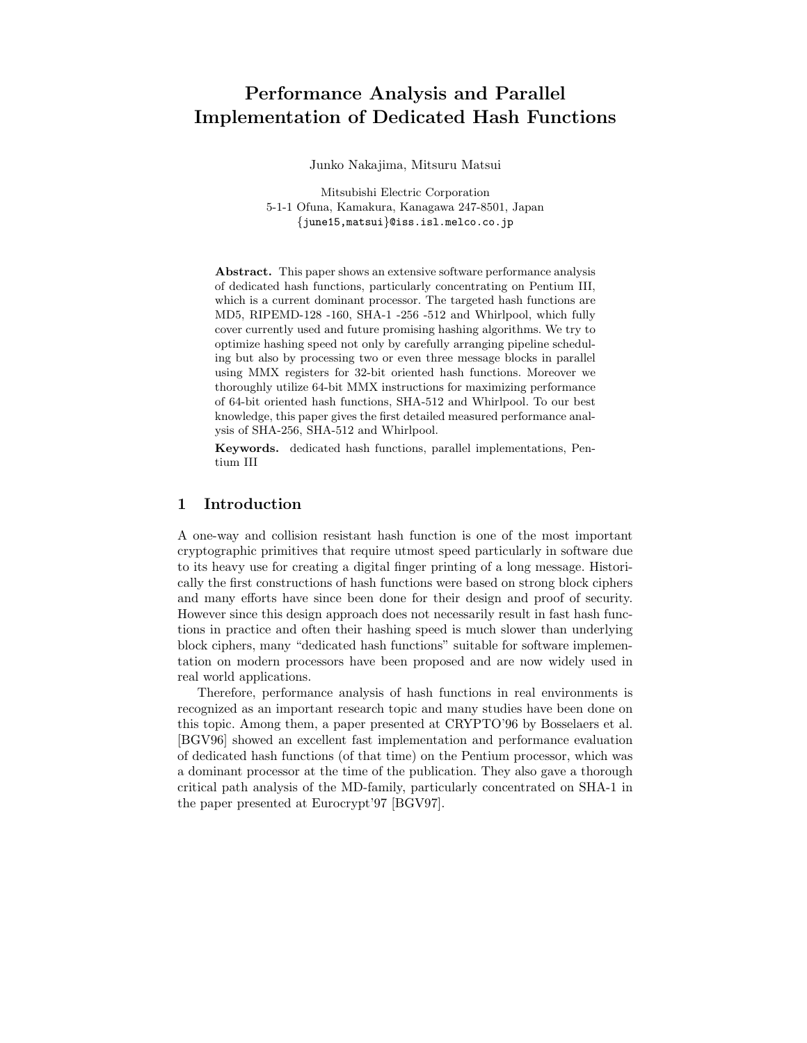# Performance Analysis and Parallel Implementation of Dedicated Hash Functions

Junko Nakajima, Mitsuru Matsui

Mitsubishi Electric Corporation 5-1-1 Ofuna, Kamakura, Kanagawa 247-8501, Japan {june15,matsui}@iss.isl.melco.co.jp

Abstract. This paper shows an extensive software performance analysis of dedicated hash functions, particularly concentrating on Pentium III, which is a current dominant processor. The targeted hash functions are MD5, RIPEMD-128 -160, SHA-1 -256 -512 and Whirlpool, which fully cover currently used and future promising hashing algorithms. We try to optimize hashing speed not only by carefully arranging pipeline scheduling but also by processing two or even three message blocks in parallel using MMX registers for 32-bit oriented hash functions. Moreover we thoroughly utilize 64-bit MMX instructions for maximizing performance of 64-bit oriented hash functions, SHA-512 and Whirlpool. To our best knowledge, this paper gives the first detailed measured performance analysis of SHA-256, SHA-512 and Whirlpool.

Keywords. dedicated hash functions, parallel implementations, Pentium III

# 1 Introduction

A one-way and collision resistant hash function is one of the most important cryptographic primitives that require utmost speed particularly in software due to its heavy use for creating a digital finger printing of a long message. Historically the first constructions of hash functions were based on strong block ciphers and many efforts have since been done for their design and proof of security. However since this design approach does not necessarily result in fast hash functions in practice and often their hashing speed is much slower than underlying block ciphers, many "dedicated hash functions" suitable for software implementation on modern processors have been proposed and are now widely used in real world applications.

Therefore, performance analysis of hash functions in real environments is recognized as an important research topic and many studies have been done on this topic. Among them, a paper presented at CRYPTO'96 by Bosselaers et al. [BGV96] showed an excellent fast implementation and performance evaluation of dedicated hash functions (of that time) on the Pentium processor, which was a dominant processor at the time of the publication. They also gave a thorough critical path analysis of the MD-family, particularly concentrated on SHA-1 in the paper presented at Eurocrypt'97 [BGV97].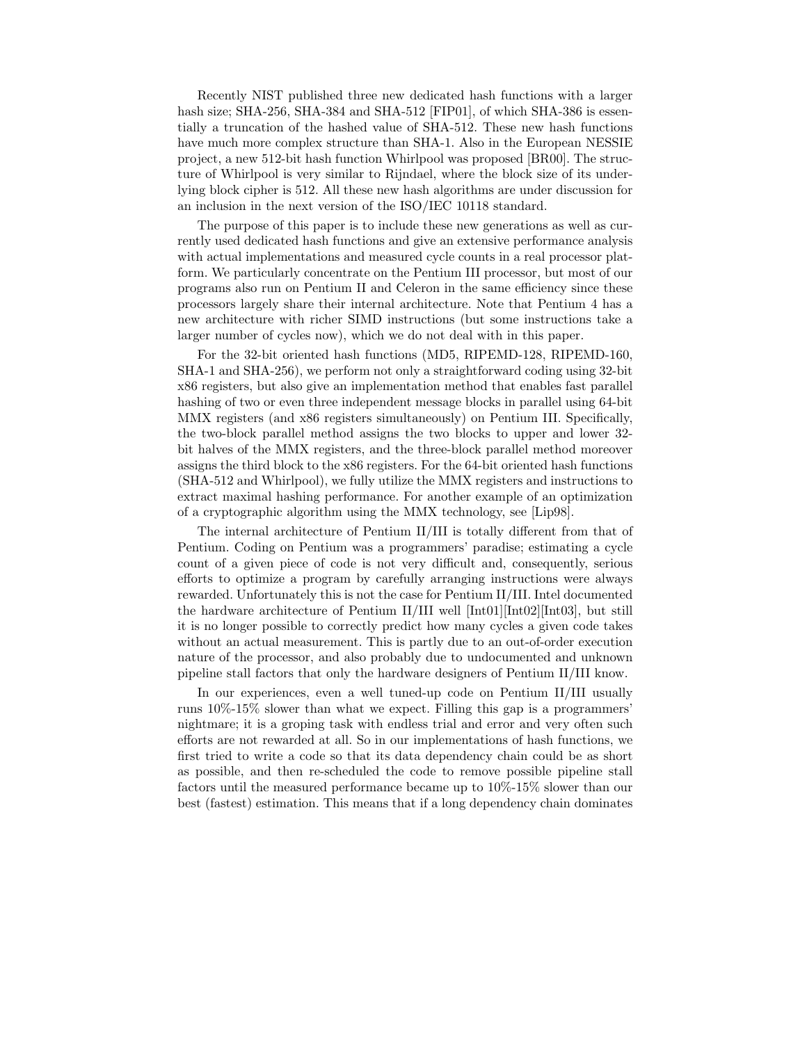Recently NIST published three new dedicated hash functions with a larger hash size; SHA-256, SHA-384 and SHA-512 [FIP01], of which SHA-386 is essentially a truncation of the hashed value of SHA-512. These new hash functions have much more complex structure than SHA-1. Also in the European NESSIE project, a new 512-bit hash function Whirlpool was proposed [BR00]. The structure of Whirlpool is very similar to Rijndael, where the block size of its underlying block cipher is 512. All these new hash algorithms are under discussion for an inclusion in the next version of the ISO/IEC 10118 standard.

The purpose of this paper is to include these new generations as well as currently used dedicated hash functions and give an extensive performance analysis with actual implementations and measured cycle counts in a real processor platform. We particularly concentrate on the Pentium III processor, but most of our programs also run on Pentium II and Celeron in the same efficiency since these processors largely share their internal architecture. Note that Pentium 4 has a new architecture with richer SIMD instructions (but some instructions take a larger number of cycles now), which we do not deal with in this paper.

For the 32-bit oriented hash functions (MD5, RIPEMD-128, RIPEMD-160, SHA-1 and SHA-256), we perform not only a straightforward coding using 32-bit x86 registers, but also give an implementation method that enables fast parallel hashing of two or even three independent message blocks in parallel using 64-bit MMX registers (and x86 registers simultaneously) on Pentium III. Specifically, the two-block parallel method assigns the two blocks to upper and lower 32 bit halves of the MMX registers, and the three-block parallel method moreover assigns the third block to the x86 registers. For the 64-bit oriented hash functions (SHA-512 and Whirlpool), we fully utilize the MMX registers and instructions to extract maximal hashing performance. For another example of an optimization of a cryptographic algorithm using the MMX technology, see [Lip98].

The internal architecture of Pentium II/III is totally different from that of Pentium. Coding on Pentium was a programmers' paradise; estimating a cycle count of a given piece of code is not very difficult and, consequently, serious efforts to optimize a program by carefully arranging instructions were always rewarded. Unfortunately this is not the case for Pentium II/III. Intel documented the hardware architecture of Pentium II/III well  $[\text{Int}01][\text{Int}02][\text{Int}03]$ , but still it is no longer possible to correctly predict how many cycles a given code takes without an actual measurement. This is partly due to an out-of-order execution nature of the processor, and also probably due to undocumented and unknown pipeline stall factors that only the hardware designers of Pentium II/III know.

In our experiences, even a well tuned-up code on Pentium II/III usually runs 10%-15% slower than what we expect. Filling this gap is a programmers' nightmare; it is a groping task with endless trial and error and very often such efforts are not rewarded at all. So in our implementations of hash functions, we first tried to write a code so that its data dependency chain could be as short as possible, and then re-scheduled the code to remove possible pipeline stall factors until the measured performance became up to 10%-15% slower than our best (fastest) estimation. This means that if a long dependency chain dominates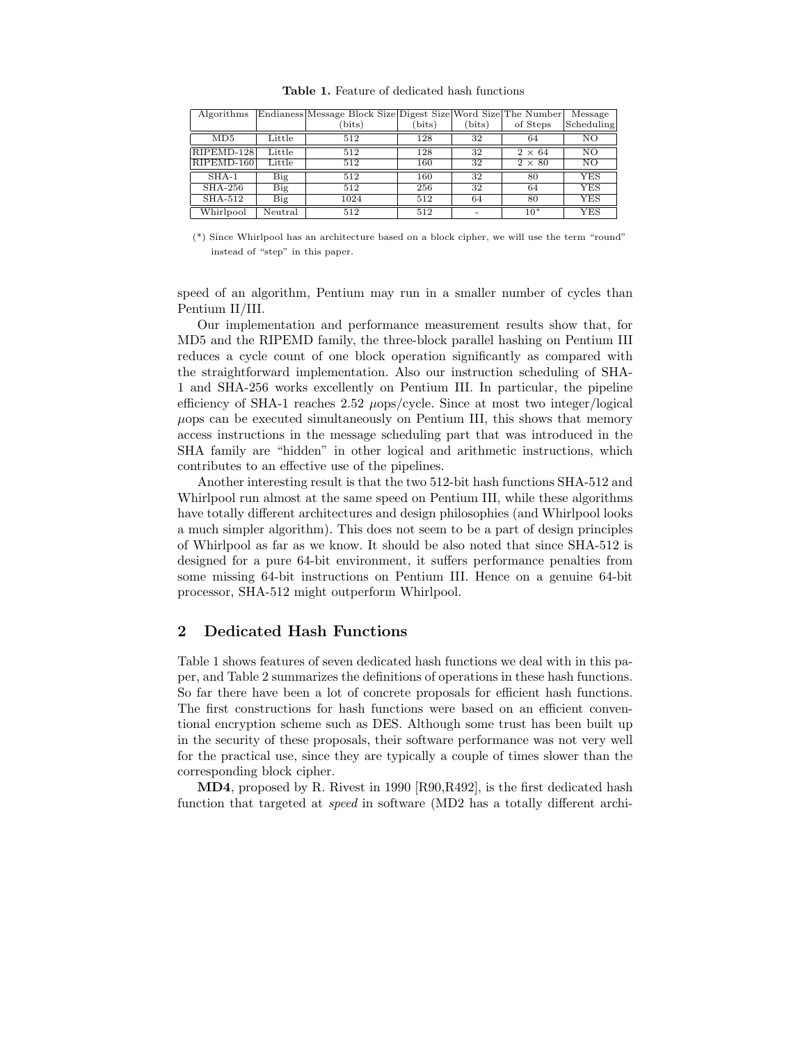| Algorithms |         | Endianess Message Block Size Digest Size Word Size The Number |       |       |               | Message         |  |
|------------|---------|---------------------------------------------------------------|-------|-------|---------------|-----------------|--|
|            |         | (bits)                                                        | bits) | bits) | of Steps      | Scheduling      |  |
| MD5        | Little  | 512                                                           | 128   | 32    | 64            | $\overline{N}O$ |  |
| RIPEMD-128 | Little  | 512                                                           | 128   | 32    | $2 \times 64$ | NΟ              |  |
| RIPEMD-160 | Little  | 512                                                           | 160   | 32    | $2 \times 80$ | NO              |  |
| $SHA-1$    | Big     | 512                                                           | 160   | 32    | 80            | YES             |  |
| $SHA-256$  | Big     | 512                                                           | 256   | 32    | 64            | YES             |  |
| SHA-512    | Big     | 1024                                                          | 512   | 64    | 80            | YES             |  |
| Whirlpool  | Neutral | 512                                                           | 512   |       | 10*           | YES             |  |

Table 1. Feature of dedicated hash functions

speed of an algorithm, Pentium may run in a smaller number of cycles than Pentium II/III.

Our implementation and performance measurement results show that, for MD5 and the RIPEMD family, the three-block parallel hashing on Pentium III reduces a cycle count of one block operation significantly as compared with the straightforward implementation. Also our instruction scheduling of SHA-1 and SHA-256 works excellently on Pentium III. In particular, the pipeline efficiency of SHA-1 reaches 2.52  $\mu$ ops/cycle. Since at most two integer/logical  $\mu$ ops can be executed simultaneously on Pentium III, this shows that memory access instructions in the message scheduling part that was introduced in the SHA family are "hidden" in other logical and arithmetic instructions, which contributes to an effective use of the pipelines.

Another interesting result is that the two 512-bit hash functions SHA-512 and Whirlpool run almost at the same speed on Pentium III, while these algorithms have totally different architectures and design philosophies (and Whirlpool looks a much simpler algorithm). This does not seem to be a part of design principles of Whirlpool as far as we know. It should be also noted that since SHA-512 is designed for a pure 64-bit environment, it suffers performance penalties from some missing 64-bit instructions on Pentium III. Hence on a genuine 64-bit processor, SHA-512 might outperform Whirlpool.

# 2 Dedicated Hash Functions

Table 1 shows features of seven dedicated hash functions we deal with in this paper, and Table 2 summarizes the definitions of operations in these hash functions. So far there have been a lot of concrete proposals for efficient hash functions. The first constructions for hash functions were based on an efficient conventional encryption scheme such as DES. Although some trust has been built up in the security of these proposals, their software performance was not very well for the practical use, since they are typically a couple of times slower than the corresponding block cipher.

MD4, proposed by R. Rivest in 1990 [R90,R492], is the first dedicated hash function that targeted at speed in software (MD2 has a totally different archi-

<sup>(\*)</sup> Since Whirlpool has an architecture based on a block cipher, we will use the term "round" instead of "step" in this paper.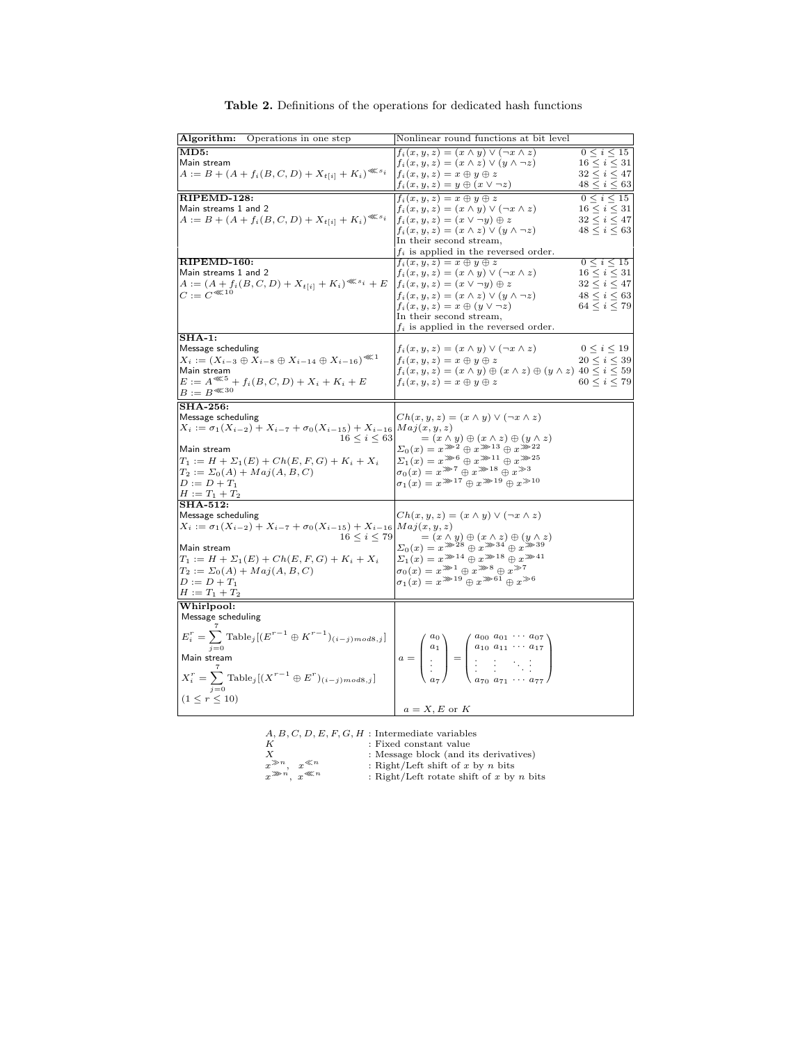| Algorithm:<br>Operations in one step                                                                       | Nonlinear round functions at bit level                                                                                                                                                                                                              |                     |
|------------------------------------------------------------------------------------------------------------|-----------------------------------------------------------------------------------------------------------------------------------------------------------------------------------------------------------------------------------------------------|---------------------|
| MD5:                                                                                                       | $f_i(x, y, z) = (x \wedge y) \vee (\neg x \wedge z)$                                                                                                                                                                                                | $0 \le i \le 15$    |
| Main stream                                                                                                | $f_i(x, y, z) = (x \wedge z) \vee (y \wedge \neg z)$                                                                                                                                                                                                | $16 \leq i \leq 31$ |
| $A := B + (A + f_i(B, C, D) + X_{t[i]} + K_i)^{\lll s_i}$                                                  | $f_i(x, y, z) = x \oplus y \oplus z$                                                                                                                                                                                                                | $32 \leq i \leq 47$ |
|                                                                                                            | $f_i(x, y, z) = y \oplus (x \vee \neg z)$                                                                                                                                                                                                           | $48\leq i\leq 63$   |
| RIPEMD-128:                                                                                                | $f_i(x, y, z) = x \oplus y \oplus z$                                                                                                                                                                                                                | $0 \le i \le 15$    |
| Main streams 1 and 2                                                                                       | $f_i(x, y, z) = (x \wedge y) \vee (\neg x \wedge z)$                                                                                                                                                                                                | $16 \leq i \leq 31$ |
| $A := B + (A + f_i(B, C, D) + X_{t[i]} + K_i)^{\lll s_i}$                                                  | $f_i(x, y, z) = (x \vee \neg y) \oplus z$                                                                                                                                                                                                           | $32 \leq i \leq 47$ |
|                                                                                                            | $f_i(x, y, z) = (x \wedge z) \vee (y \wedge \neg z)$                                                                                                                                                                                                | $48 \le i \le 63$   |
|                                                                                                            | In their second stream,                                                                                                                                                                                                                             |                     |
| RIPEMD-160:                                                                                                | $f_i$ is applied in the reversed order.<br>$f_i(x, y, z) = x \oplus y \oplus z$                                                                                                                                                                     | $0\leq i\leq 15$    |
| Main streams 1 and 2                                                                                       | $f_i(x, y, z) = (x \wedge y) \vee (\neg x \wedge z)$                                                                                                                                                                                                | $16 \leq i \leq 31$ |
| $A := (A + f_i(B, C, D) + X_{t[i]} + K_i)^{\lll s_i} + E$                                                  | $f_i(x, y, z) = (x \vee \neg y) \oplus z$                                                                                                                                                                                                           | 32 < i < 47         |
| $C := C^{(1)}$                                                                                             | $f_i(x, y, z) = (x \wedge z) \vee (y \wedge \neg z)$                                                                                                                                                                                                | 48 < i < 63         |
|                                                                                                            | $f_i(x, y, z) = x \oplus (y \vee \neg z)$                                                                                                                                                                                                           | 64 < i < 79         |
|                                                                                                            | In their second stream,                                                                                                                                                                                                                             |                     |
|                                                                                                            | $f_i$ is applied in the reversed order.                                                                                                                                                                                                             |                     |
| $SHA-1$ :                                                                                                  |                                                                                                                                                                                                                                                     |                     |
| Message scheduling                                                                                         | $f_i(x, y, z) = (x \wedge y) \vee (\neg x \wedge z)$                                                                                                                                                                                                | $0 \leq i \leq 19$  |
| $X_i := (X_{i-3} \oplus X_{i-8} \oplus X_{i-14} \oplus X_{i-16})^{\otimes 1}$                              | $f_i(x, y, z) = x \oplus y \oplus z$                                                                                                                                                                                                                | $20 \leq i \leq 39$ |
| Main stream                                                                                                | $f_i(x, y, z) = (x \wedge y) \oplus (x \wedge z) \oplus (y \wedge z)$ 40 $\leq i \leq 59$                                                                                                                                                           |                     |
| $\begin{array}{l} E := A^{\lll 5} + f_i(B,C,D) + X_i + K_i + E \\ B := B^{\lll 30} \end{array}$            | $f_i(x, y, z) = x \oplus y \oplus z$                                                                                                                                                                                                                | 60 < i < 79         |
|                                                                                                            |                                                                                                                                                                                                                                                     |                     |
| <b>SHA-256:</b>                                                                                            |                                                                                                                                                                                                                                                     |                     |
| Message scheduling                                                                                         | $Ch(x, y, z) = (x \wedge y) \vee (\neg x \wedge z)$                                                                                                                                                                                                 |                     |
| $X_i := \sigma_1(X_{i-2}) + X_{i-7} + \sigma_0(X_{i-15}) + X_{i-16}$ $Maj(x, y, z)$<br>$16 \leq i \leq 63$ | $=(x \wedge y) \oplus (x \wedge z) \oplus (y \wedge z)$                                                                                                                                                                                             |                     |
| Main stream                                                                                                | $\Sigma_0(x) = x^{m+2} \oplus x^{m+13} \oplus x^{m+22}$                                                                                                                                                                                             |                     |
| $T_1 := H + \Sigma_1(E) + Ch(E, F, G) + K_i + X_i$                                                         | $\Sigma_1(x) = x^{m}{}^6 \oplus x^{m}{}^{11} \oplus x^{m}{}^{25}$                                                                                                                                                                                   |                     |
| $T_2 := \Sigma_0(A) + Maj(A, B, C)$                                                                        | $\sigma_0(x) = x^{*2} \oplus x^{*18} \oplus x^{*3}$                                                                                                                                                                                                 |                     |
| $D := D + T_1$                                                                                             | $\sigma_1(x) = x^{m 17} \oplus x^{m 19} \oplus x^{m 10}$                                                                                                                                                                                            |                     |
| $H := T_1 + T_2$                                                                                           |                                                                                                                                                                                                                                                     |                     |
| <b>SHA-512:</b>                                                                                            |                                                                                                                                                                                                                                                     |                     |
| Message scheduling                                                                                         | $Ch(x, y, z) = (x \wedge y) \vee (\neg x \wedge z)$                                                                                                                                                                                                 |                     |
| $X_i := \sigma_1(X_{i-2}) + X_{i-7} + \sigma_0(X_{i-15}) + X_{i-16}$ $Maj(x, y, z)$                        |                                                                                                                                                                                                                                                     |                     |
| $16 \le i \le 79$                                                                                          | $=(x\wedge y)\oplus(x\wedge z)\oplus(y\wedge z)$                                                                                                                                                                                                    |                     |
| Main stream                                                                                                | $\Sigma_0(x) = x^{3/28} \oplus x^{3/4} \oplus x^{3/8}$                                                                                                                                                                                              |                     |
| $T_1 := H + \Sigma_1(E) + Ch(E, F, G) + K_i + X_i$                                                         | $\Sigma_1(x) = x^{m14} \oplus x^{m18} \oplus x^{m41}$<br>$\sigma_0(x) = x^{m} \oplus x^{m} \oplus x^{m}$                                                                                                                                            |                     |
| $T_2 := \Sigma_0(A) + Maj(A, B, C)$                                                                        | $\sigma_1(x) = x^{\gg 19} \oplus x^{\gg 61} \oplus x^{\gg 6}$                                                                                                                                                                                       |                     |
| $D := D + T_1$<br>$H := T_1 + T_2$                                                                         |                                                                                                                                                                                                                                                     |                     |
| Whirlpool:                                                                                                 |                                                                                                                                                                                                                                                     |                     |
| Message scheduling                                                                                         |                                                                                                                                                                                                                                                     |                     |
|                                                                                                            |                                                                                                                                                                                                                                                     |                     |
| $E_i^r = \sum \text{Table}_j[(E^{r-1} \oplus K^{r-1})_{(i-j) \mod 8, j}]$                                  |                                                                                                                                                                                                                                                     |                     |
| $i=0$                                                                                                      |                                                                                                                                                                                                                                                     |                     |
| Main stream                                                                                                | $a = \begin{pmatrix} a_0 \\ a_1 \\ \vdots \\ \vdots \end{pmatrix} = \begin{pmatrix} a_{00} & a_{01} & \cdots & a_{07} \\ a_{10} & a_{11} & \cdots & a_{17} \\ \vdots & \vdots & \ddots & \vdots \\ \vdots & \vdots & \ddots & \vdots \end{pmatrix}$ |                     |
|                                                                                                            |                                                                                                                                                                                                                                                     |                     |
| $X_i^r = \sum_{i=0}^{N} \text{Table}_j[(X^{r-1} \oplus E^r)_{(i-j)mod 8,j}]$                               |                                                                                                                                                                                                                                                     |                     |
| $(1 \le r \le 10)$                                                                                         |                                                                                                                                                                                                                                                     |                     |
|                                                                                                            | $a = X, E$ or K                                                                                                                                                                                                                                     |                     |

Table 2. Definitions of the operations for dedicated hash functions

|                         | $A, B, C, D, E, F, G, H$ : Intermediate variables |
|-------------------------|---------------------------------------------------|
| K                       | : Fixed constant value                            |
| Х                       | : Message block (and its derivatives)             |
| $x^{\gg n}$ $x^{\ll n}$ | : Right/Left shift of x by n bits                 |

 $x^{\gg n}$ ,  $x^{\ll n}$  : Right/Left rotate shift of x by n bits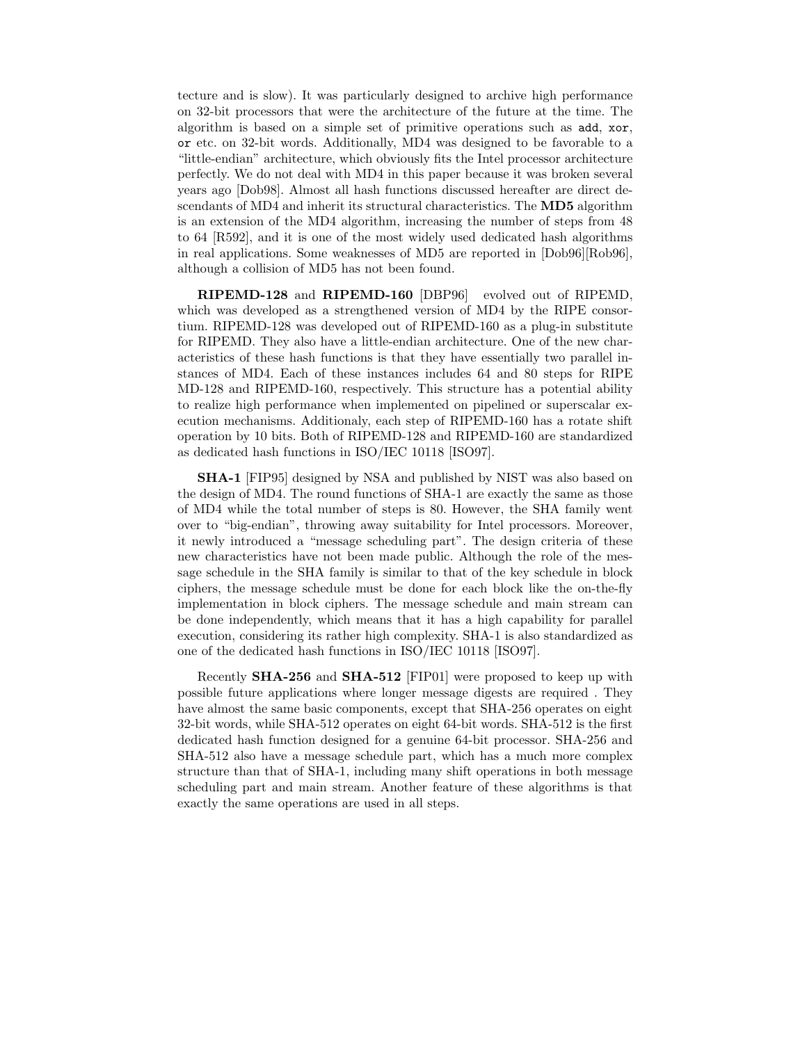tecture and is slow). It was particularly designed to archive high performance on 32-bit processors that were the architecture of the future at the time. The algorithm is based on a simple set of primitive operations such as add, xor, or etc. on 32-bit words. Additionally, MD4 was designed to be favorable to a "little-endian" architecture, which obviously fits the Intel processor architecture perfectly. We do not deal with MD4 in this paper because it was broken several years ago [Dob98]. Almost all hash functions discussed hereafter are direct descendants of MD4 and inherit its structural characteristics. The MD5 algorithm is an extension of the MD4 algorithm, increasing the number of steps from 48 to 64 [R592], and it is one of the most widely used dedicated hash algorithms in real applications. Some weaknesses of MD5 are reported in  $[Dob96]$ [Rob96], although a collision of MD5 has not been found.

RIPEMD-128 and RIPEMD-160 [DBP96] evolved out of RIPEMD, which was developed as a strengthened version of MD4 by the RIPE consortium. RIPEMD-128 was developed out of RIPEMD-160 as a plug-in substitute for RIPEMD. They also have a little-endian architecture. One of the new characteristics of these hash functions is that they have essentially two parallel instances of MD4. Each of these instances includes 64 and 80 steps for RIPE MD-128 and RIPEMD-160, respectively. This structure has a potential ability to realize high performance when implemented on pipelined or superscalar execution mechanisms. Additionaly, each step of RIPEMD-160 has a rotate shift operation by 10 bits. Both of RIPEMD-128 and RIPEMD-160 are standardized as dedicated hash functions in ISO/IEC 10118 [ISO97].

SHA-1 [FIP95] designed by NSA and published by NIST was also based on the design of MD4. The round functions of SHA-1 are exactly the same as those of MD4 while the total number of steps is 80. However, the SHA family went over to "big-endian", throwing away suitability for Intel processors. Moreover, it newly introduced a "message scheduling part". The design criteria of these new characteristics have not been made public. Although the role of the message schedule in the SHA family is similar to that of the key schedule in block ciphers, the message schedule must be done for each block like the on-the-fly implementation in block ciphers. The message schedule and main stream can be done independently, which means that it has a high capability for parallel execution, considering its rather high complexity. SHA-1 is also standardized as one of the dedicated hash functions in ISO/IEC 10118 [ISO97].

Recently SHA-256 and SHA-512 [FIP01] were proposed to keep up with possible future applications where longer message digests are required . They have almost the same basic components, except that SHA-256 operates on eight 32-bit words, while SHA-512 operates on eight 64-bit words. SHA-512 is the first dedicated hash function designed for a genuine 64-bit processor. SHA-256 and SHA-512 also have a message schedule part, which has a much more complex structure than that of SHA-1, including many shift operations in both message scheduling part and main stream. Another feature of these algorithms is that exactly the same operations are used in all steps.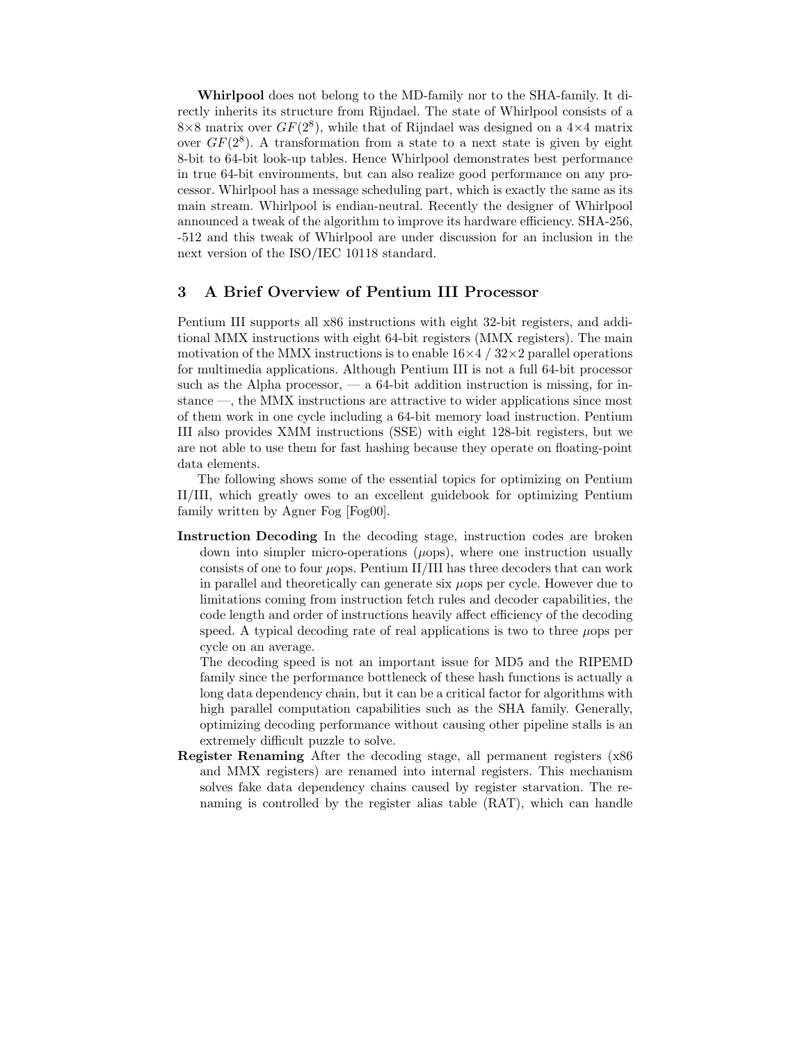Whirlpool does not belong to the MD-family nor to the SHA-family. It directly inherits its structure from Rijndael. The state of Whirlpool consists of a  $8\times 8$  matrix over  $GF(2^8)$ , while that of Rijndael was designed on a  $4\times 4$  matrix over  $GF(2^8)$ . A transformation from a state to a next state is given by eight 8-bit to 64-bit look-up tables. Hence Whirlpool demonstrates best performance in true 64-bit environments, but can also realize good performance on any processor. Whirlpool has a message scheduling part, which is exactly the same as its main stream. Whirlpool is endian-neutral. Recently the designer of Whirlpool announced a tweak of the algorithm to improve its hardware efficiency. SHA-256, -512 and this tweak of Whirlpool are under discussion for an inclusion in the next version of the ISO/IEC 10118 standard.

# 3 A Brief Overview of Pentium III Processor

Pentium III supports all x86 instructions with eight 32-bit registers, and additional MMX instructions with eight 64-bit registers (MMX registers). The main motivation of the MMX instructions is to enable  $16\times4/32\times2$  parallel operations for multimedia applications. Although Pentium III is not a full 64-bit processor such as the Alpha processor,  $-$  a 64-bit addition instruction is missing, for instance —, the MMX instructions are attractive to wider applications since most of them work in one cycle including a 64-bit memory load instruction. Pentium III also provides XMM instructions (SSE) with eight 128-bit registers, but we are not able to use them for fast hashing because they operate on floating-point data elements.

The following shows some of the essential topics for optimizing on Pentium II/III, which greatly owes to an excellent guidebook for optimizing Pentium family written by Agner Fog [Fog00].

Instruction Decoding In the decoding stage, instruction codes are broken down into simpler micro-operations  $(\mu_{\text{obs}})$ , where one instruction usually consists of one to four  $\mu$ ops. Pentium II/III has three decoders that can work in parallel and theoretically can generate six  $\mu$ ops per cycle. However due to limitations coming from instruction fetch rules and decoder capabilities, the code length and order of instructions heavily affect efficiency of the decoding speed. A typical decoding rate of real applications is two to three  $\mu$ ops per cycle on an average.

The decoding speed is not an important issue for MD5 and the RIPEMD family since the performance bottleneck of these hash functions is actually a long data dependency chain, but it can be a critical factor for algorithms with high parallel computation capabilities such as the SHA family. Generally, optimizing decoding performance without causing other pipeline stalls is an extremely difficult puzzle to solve.

Register Renaming After the decoding stage, all permanent registers (x86 and MMX registers) are renamed into internal registers. This mechanism solves fake data dependency chains caused by register starvation. The renaming is controlled by the register alias table (RAT), which can handle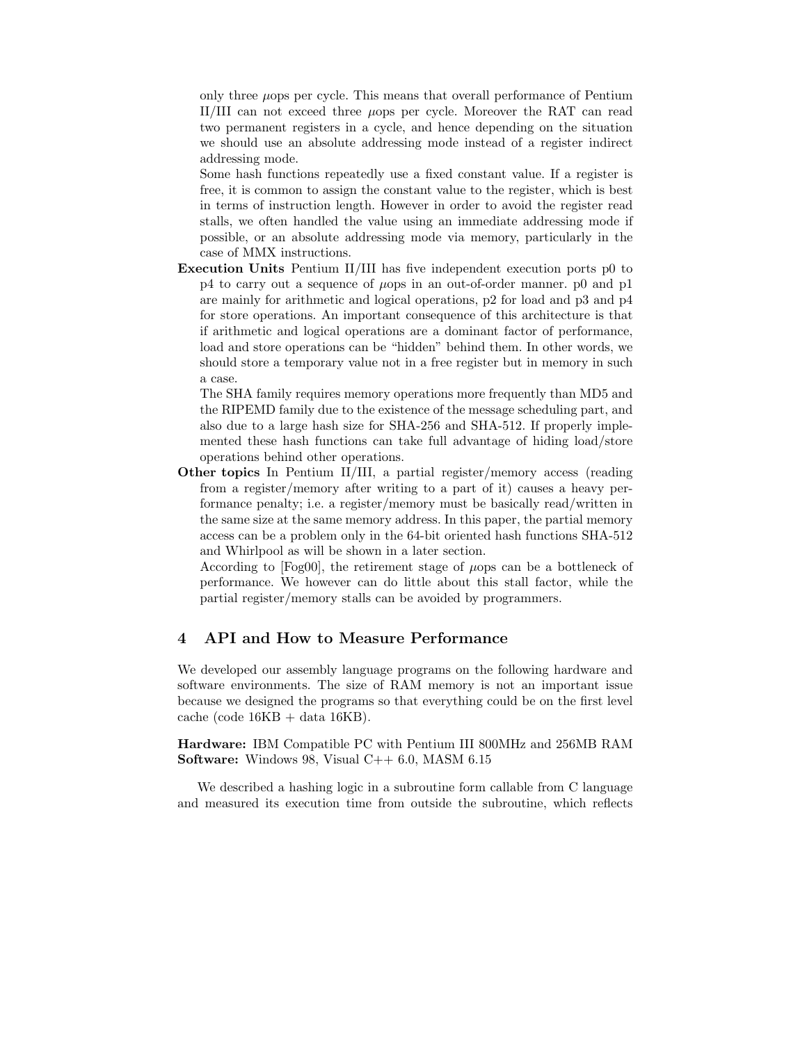only three  $\mu$ ops per cycle. This means that overall performance of Pentium II/III can not exceed three µops per cycle. Moreover the RAT can read two permanent registers in a cycle, and hence depending on the situation we should use an absolute addressing mode instead of a register indirect addressing mode.

Some hash functions repeatedly use a fixed constant value. If a register is free, it is common to assign the constant value to the register, which is best in terms of instruction length. However in order to avoid the register read stalls, we often handled the value using an immediate addressing mode if possible, or an absolute addressing mode via memory, particularly in the case of MMX instructions.

Execution Units Pentium II/III has five independent execution ports p0 to  $p4$  to carry out a sequence of  $\mu$ ops in an out-of-order manner. p0 and p1 are mainly for arithmetic and logical operations, p2 for load and p3 and p4 for store operations. An important consequence of this architecture is that if arithmetic and logical operations are a dominant factor of performance, load and store operations can be "hidden" behind them. In other words, we should store a temporary value not in a free register but in memory in such a case.

The SHA family requires memory operations more frequently than MD5 and the RIPEMD family due to the existence of the message scheduling part, and also due to a large hash size for SHA-256 and SHA-512. If properly implemented these hash functions can take full advantage of hiding load/store operations behind other operations.

Other topics In Pentium II/III, a partial register/memory access (reading from a register/memory after writing to a part of it) causes a heavy performance penalty; i.e. a register/memory must be basically read/written in the same size at the same memory address. In this paper, the partial memory access can be a problem only in the 64-bit oriented hash functions SHA-512 and Whirlpool as will be shown in a later section.

According to  $[Fog00]$ , the retirement stage of  $\mu$ ops can be a bottleneck of performance. We however can do little about this stall factor, while the partial register/memory stalls can be avoided by programmers.

# 4 API and How to Measure Performance

We developed our assembly language programs on the following hardware and software environments. The size of RAM memory is not an important issue because we designed the programs so that everything could be on the first level  $cache (code 16KB + data 16KB).$ 

Hardware: IBM Compatible PC with Pentium III 800MHz and 256MB RAM **Software:** Windows 98, Visual  $C++6.0$ , MASM  $6.15$ 

We described a hashing logic in a subroutine form callable from C language and measured its execution time from outside the subroutine, which reflects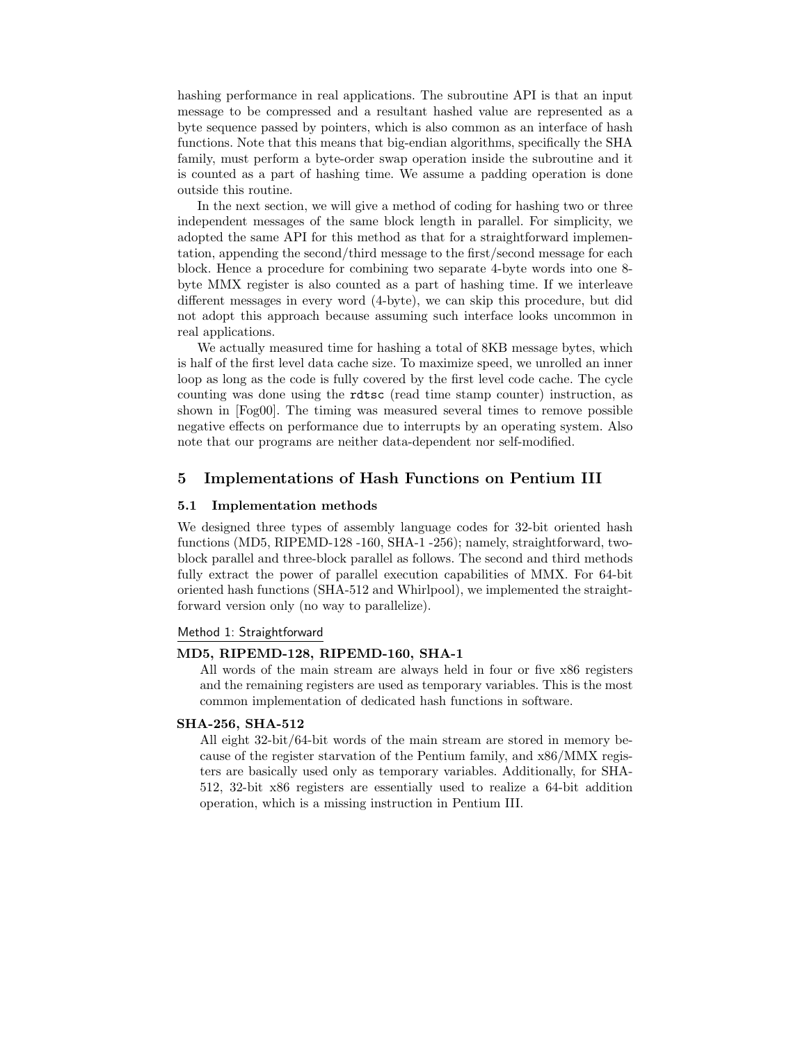hashing performance in real applications. The subroutine API is that an input message to be compressed and a resultant hashed value are represented as a byte sequence passed by pointers, which is also common as an interface of hash functions. Note that this means that big-endian algorithms, specifically the SHA family, must perform a byte-order swap operation inside the subroutine and it is counted as a part of hashing time. We assume a padding operation is done outside this routine.

In the next section, we will give a method of coding for hashing two or three independent messages of the same block length in parallel. For simplicity, we adopted the same API for this method as that for a straightforward implementation, appending the second/third message to the first/second message for each block. Hence a procedure for combining two separate 4-byte words into one 8 byte MMX register is also counted as a part of hashing time. If we interleave different messages in every word (4-byte), we can skip this procedure, but did not adopt this approach because assuming such interface looks uncommon in real applications.

We actually measured time for hashing a total of 8KB message bytes, which is half of the first level data cache size. To maximize speed, we unrolled an inner loop as long as the code is fully covered by the first level code cache. The cycle counting was done using the rdtsc (read time stamp counter) instruction, as shown in [Fog00]. The timing was measured several times to remove possible negative effects on performance due to interrupts by an operating system. Also note that our programs are neither data-dependent nor self-modified.

# 5 Implementations of Hash Functions on Pentium III

## 5.1 Implementation methods

We designed three types of assembly language codes for 32-bit oriented hash functions (MD5, RIPEMD-128 -160, SHA-1 -256); namely, straightforward, twoblock parallel and three-block parallel as follows. The second and third methods fully extract the power of parallel execution capabilities of MMX. For 64-bit oriented hash functions (SHA-512 and Whirlpool), we implemented the straightforward version only (no way to parallelize).

## Method 1: Straightforward

#### MD5, RIPEMD-128, RIPEMD-160, SHA-1

All words of the main stream are always held in four or five x86 registers and the remaining registers are used as temporary variables. This is the most common implementation of dedicated hash functions in software.

#### SHA-256, SHA-512

All eight 32-bit/64-bit words of the main stream are stored in memory because of the register starvation of the Pentium family, and x86/MMX registers are basically used only as temporary variables. Additionally, for SHA-512, 32-bit x86 registers are essentially used to realize a 64-bit addition operation, which is a missing instruction in Pentium III.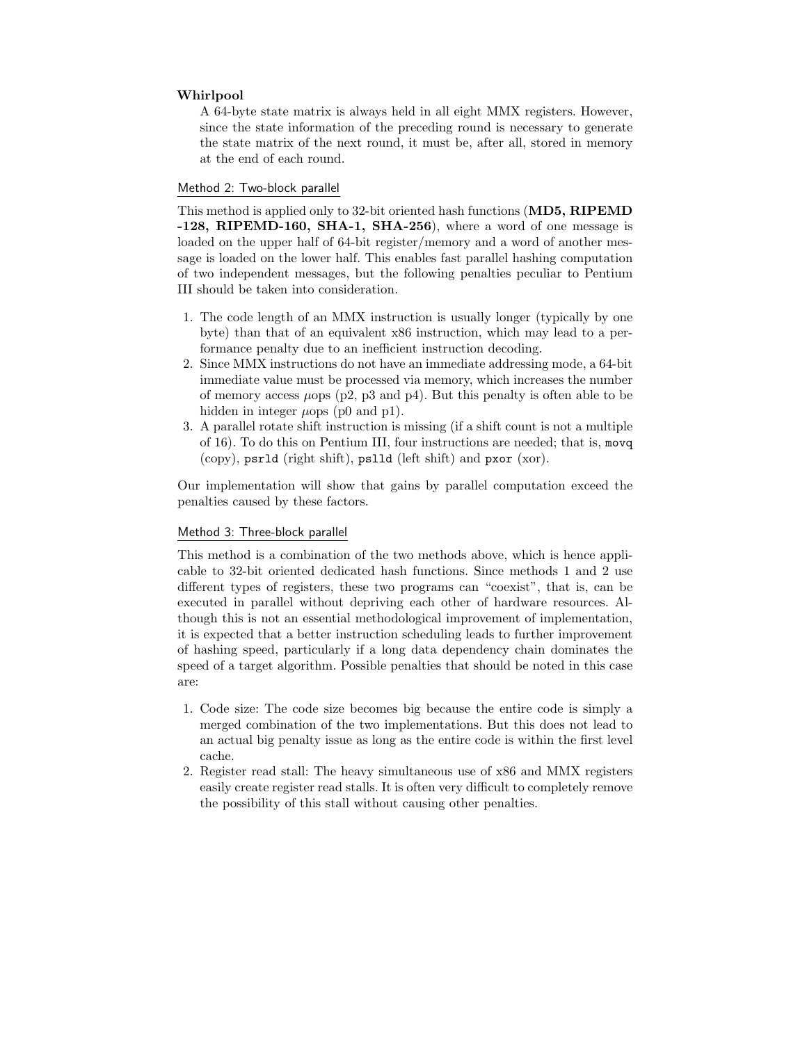## Whirlpool

A 64-byte state matrix is always held in all eight MMX registers. However, since the state information of the preceding round is necessary to generate the state matrix of the next round, it must be, after all, stored in memory at the end of each round.

## Method 2: Two-block parallel

This method is applied only to 32-bit oriented hash functions (MD5, RIPEMD -128, RIPEMD-160, SHA-1, SHA-256), where a word of one message is loaded on the upper half of 64-bit register/memory and a word of another message is loaded on the lower half. This enables fast parallel hashing computation of two independent messages, but the following penalties peculiar to Pentium III should be taken into consideration.

- 1. The code length of an MMX instruction is usually longer (typically by one byte) than that of an equivalent x86 instruction, which may lead to a performance penalty due to an inefficient instruction decoding.
- 2. Since MMX instructions do not have an immediate addressing mode, a 64-bit immediate value must be processed via memory, which increases the number of memory access  $\mu$ ops (p2, p3 and p4). But this penalty is often able to be hidden in integer  $\mu$ ops (p0 and p1).
- 3. A parallel rotate shift instruction is missing (if a shift count is not a multiple of 16). To do this on Pentium III, four instructions are needed; that is, movq (copy), psrld (right shift), pslld (left shift) and pxor (xor).

Our implementation will show that gains by parallel computation exceed the penalties caused by these factors.

## Method 3: Three-block parallel

This method is a combination of the two methods above, which is hence applicable to 32-bit oriented dedicated hash functions. Since methods 1 and 2 use different types of registers, these two programs can "coexist", that is, can be executed in parallel without depriving each other of hardware resources. Although this is not an essential methodological improvement of implementation, it is expected that a better instruction scheduling leads to further improvement of hashing speed, particularly if a long data dependency chain dominates the speed of a target algorithm. Possible penalties that should be noted in this case are:

- 1. Code size: The code size becomes big because the entire code is simply a merged combination of the two implementations. But this does not lead to an actual big penalty issue as long as the entire code is within the first level cache.
- 2. Register read stall: The heavy simultaneous use of x86 and MMX registers easily create register read stalls. It is often very difficult to completely remove the possibility of this stall without causing other penalties.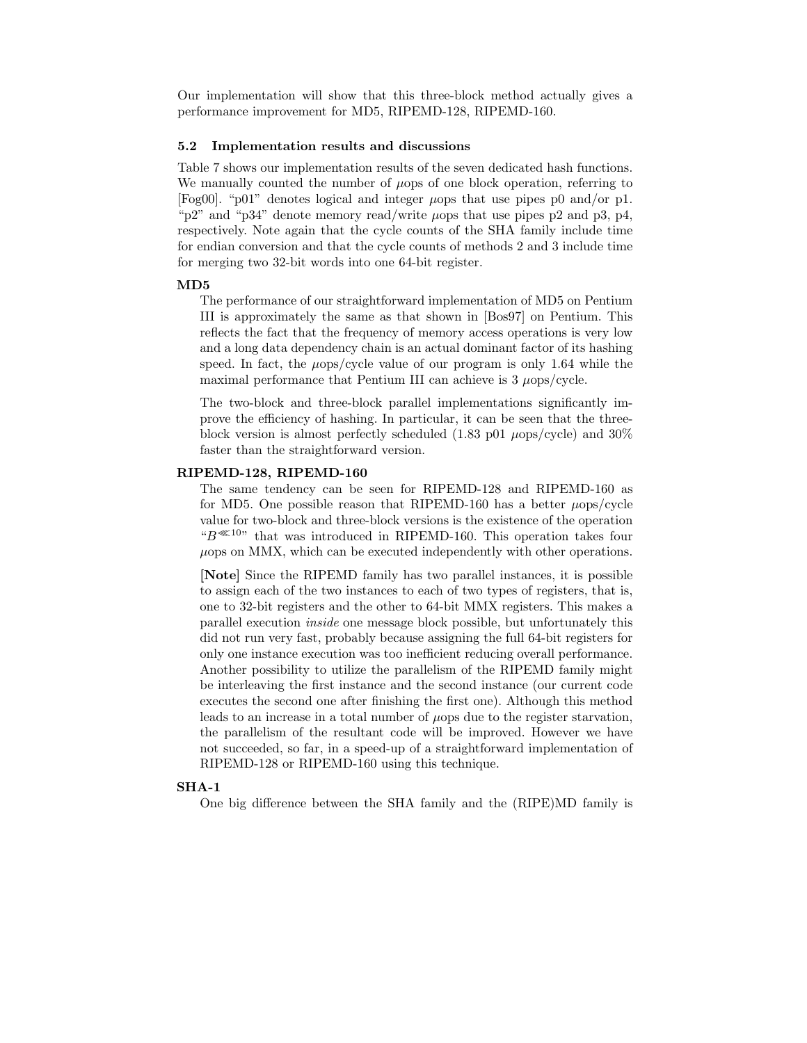Our implementation will show that this three-block method actually gives a performance improvement for MD5, RIPEMD-128, RIPEMD-160.

## 5.2 Implementation results and discussions

Table 7 shows our implementation results of the seven dedicated hash functions. We manually counted the number of  $\mu$ ops of one block operation, referring to [Fog00]. "p01" denotes logical and integer  $\mu$ ops that use pipes p0 and/or p1. "p2" and "p34" denote memory read/write  $\mu$ ops that use pipes p2 and p3, p4, respectively. Note again that the cycle counts of the SHA family include time for endian conversion and that the cycle counts of methods 2 and 3 include time for merging two 32-bit words into one 64-bit register.

#### MD5

The performance of our straightforward implementation of MD5 on Pentium III is approximately the same as that shown in [Bos97] on Pentium. This reflects the fact that the frequency of memory access operations is very low and a long data dependency chain is an actual dominant factor of its hashing speed. In fact, the  $\mu$ ops/cycle value of our program is only 1.64 while the maximal performance that Pentium III can achieve is  $3 \mu_{\rm op}$ /cycle.

The two-block and three-block parallel implementations significantly improve the efficiency of hashing. In particular, it can be seen that the threeblock version is almost perfectly scheduled (1.83 p01  $\mu$ ops/cycle) and 30% faster than the straightforward version.

#### RIPEMD-128, RIPEMD-160

The same tendency can be seen for RIPEMD-128 and RIPEMD-160 as for MD5. One possible reason that RIPEMD-160 has a better  $\mu$ ops/cycle value for two-block and three-block versions is the existence of the operation " $B^{\ll 10}$ " that was introduced in RIPEMD-160. This operation takes four  $\mu$ ops on MMX, which can be executed independently with other operations.

[Note] Since the RIPEMD family has two parallel instances, it is possible to assign each of the two instances to each of two types of registers, that is, one to 32-bit registers and the other to 64-bit MMX registers. This makes a parallel execution inside one message block possible, but unfortunately this did not run very fast, probably because assigning the full 64-bit registers for only one instance execution was too inefficient reducing overall performance. Another possibility to utilize the parallelism of the RIPEMD family might be interleaving the first instance and the second instance (our current code executes the second one after finishing the first one). Although this method leads to an increase in a total number of  $\mu$ ops due to the register starvation, the parallelism of the resultant code will be improved. However we have not succeeded, so far, in a speed-up of a straightforward implementation of RIPEMD-128 or RIPEMD-160 using this technique.

#### SHA-1

One big difference between the SHA family and the (RIPE)MD family is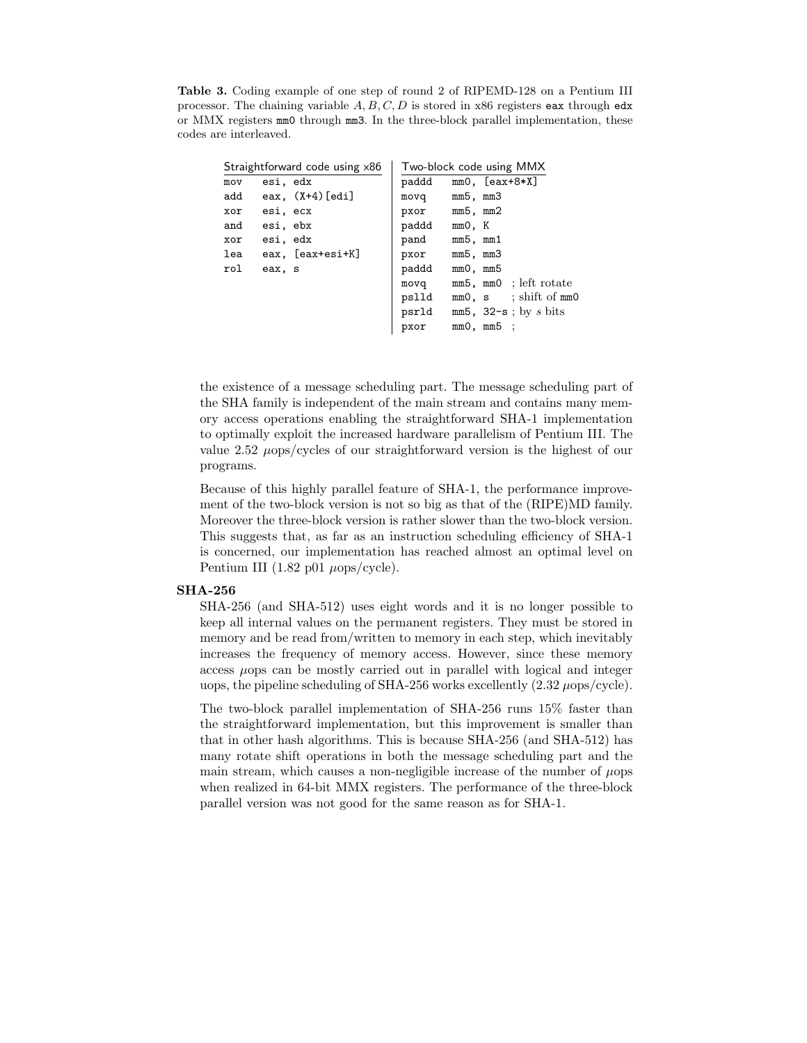Table 3. Coding example of one step of round 2 of RIPEMD-128 on a Pentium III processor. The chaining variable  $A, B, C, D$  is stored in x86 registers eax through edx or MMX registers mm0 through mm3. In the three-block parallel implementation, these codes are interleaved.

| Straightforward code using x86 |          |                    | Two-block code using MMX |          |                            |  |  |
|--------------------------------|----------|--------------------|--------------------------|----------|----------------------------|--|--|
| mov                            | esi, edx |                    | paddd                    |          | $mm0, [eax+8*X]$           |  |  |
| add                            |          | eax, $(X+4)$ [edi] | movq                     | mm5, mm3 |                            |  |  |
| xor                            | esi, ecx |                    | pxor                     | mm5, mm2 |                            |  |  |
| and                            | esi, ebx |                    | paddd                    | mm0, K   |                            |  |  |
| xor                            | esi, edx |                    | pand                     | mm5, mm1 |                            |  |  |
| lea                            |          | eax, [eax+esi+K]   | pxor                     | mm5, mm3 |                            |  |  |
| rol                            | eax, s   |                    | paddd                    | mm0, mm5 |                            |  |  |
|                                |          |                    | movq                     |          | mm5, mm0 ; left rotate     |  |  |
|                                |          |                    | pslld                    |          | $mm0$ , s ; shift of $mm0$ |  |  |
|                                |          |                    | psrld                    |          | $mm5$ , 32-s; by s bits    |  |  |
|                                |          |                    | pxor                     |          | $mm0$ , $mm5$ ;            |  |  |

the existence of a message scheduling part. The message scheduling part of the SHA family is independent of the main stream and contains many memory access operations enabling the straightforward SHA-1 implementation to optimally exploit the increased hardware parallelism of Pentium III. The value  $2.52 \text{ } \mu$ ops/cycles of our straightforward version is the highest of our programs.

Because of this highly parallel feature of SHA-1, the performance improvement of the two-block version is not so big as that of the (RIPE)MD family. Moreover the three-block version is rather slower than the two-block version. This suggests that, as far as an instruction scheduling efficiency of SHA-1 is concerned, our implementation has reached almost an optimal level on Pentium III (1.82 p01  $\mu$ ops/cycle).

#### SHA-256

SHA-256 (and SHA-512) uses eight words and it is no longer possible to keep all internal values on the permanent registers. They must be stored in memory and be read from/written to memory in each step, which inevitably increases the frequency of memory access. However, since these memory access µops can be mostly carried out in parallel with logical and integer uops, the pipeline scheduling of SHA-256 works excellently  $(2.32 \mu \text{ops/cycle})$ .

The two-block parallel implementation of SHA-256 runs 15% faster than the straightforward implementation, but this improvement is smaller than that in other hash algorithms. This is because SHA-256 (and SHA-512) has many rotate shift operations in both the message scheduling part and the main stream, which causes a non-negligible increase of the number of  $\mu$ ops when realized in 64-bit MMX registers. The performance of the three-block parallel version was not good for the same reason as for SHA-1.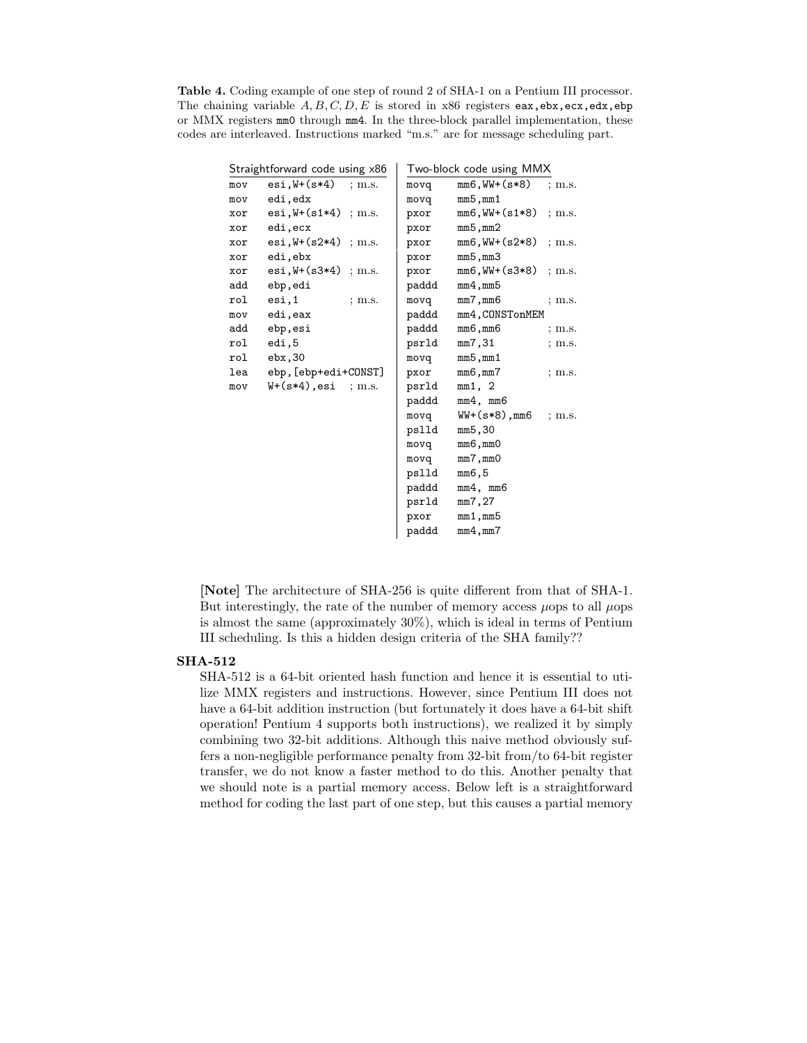Table 4. Coding example of one step of round 2 of SHA-1 on a Pentium III processor. The chaining variable  $A, B, C, D, E$  is stored in x86 registers eax, ebx, ecx, edx, ebp or MMX registers mm0 through mm4. In the three-block parallel implementation, these codes are interleaved. Instructions marked "m.s." are for message scheduling part.

|     | Straightforward code using ×86       |          | Two-block code using MMX |                         |          |  |  |
|-----|--------------------------------------|----------|--------------------------|-------------------------|----------|--|--|
| mov | $\texttt{esi,W+(s*4)}$               | $;$ m.s. | movq                     | $mm6, WW+(s*8)$         | ; m.s.   |  |  |
| mov | edi, edx                             |          | movq                     | mm5,mm1                 |          |  |  |
| xor | $\text{esi}, \text{W+}(s1*4)$ ; m.s. |          | pxor                     | $mm6, WW+(s1*8)$ ; m.s. |          |  |  |
| xor | edi, ecx                             |          | pxor                     | mm5,mm2                 |          |  |  |
| xor | $\text{esi}, \text{W+}(s2*4)$ ; m.s. |          | pxor                     | mm6,WW+(s2*8)           | $;$ m.s. |  |  |
| xor | edi, ebx                             |          | pxor                     | mm5,mm3                 |          |  |  |
| xor | $esi, W+(s3*4)$ ; m.s.               |          | pxor                     | $mm6, WW+(s3*8)$        | ; m.s.   |  |  |
| add | ebp, edi                             |          | paddd                    | mm4,mm5                 |          |  |  |
| rol | esi,1                                | $;$ m.s. | movq                     | mm7,mm6                 | $;$ m.s. |  |  |
| mov | edi, eax                             |          | paddd                    | mm4, CONSTonMEM         |          |  |  |
| add | ebp, esi                             |          | paddd                    | mm6, mm6                | $;$ m.s. |  |  |
| rol | edi,5                                |          | psrld                    | mm7,31                  | $;$ m.s. |  |  |
| rol | ebx,30                               |          | movq                     | mm5,mm1                 |          |  |  |
| lea | ebp, [ebp+edi+CONST]                 |          | pxor                     | mm6,mm7                 | $;$ m.s. |  |  |
| mov | W+(s*4),esi                          | ~:~m.s.  | psrld                    | mm1, 2                  |          |  |  |
|     |                                      |          | paddd                    | mm4, mm6                |          |  |  |
|     |                                      |          | movq                     | $WW+(s*8)$ ,mm6         | $;$ m.s. |  |  |
|     |                                      |          | pslld                    | mm5,30                  |          |  |  |
|     |                                      |          | movq                     | mm6,mm0                 |          |  |  |
|     |                                      |          | movq                     | mm7,mm0                 |          |  |  |
|     |                                      |          | pslld                    | mm6,5                   |          |  |  |
|     |                                      |          | paddd                    | mm4, mm6                |          |  |  |
|     |                                      |          | psrld                    | mm7,27                  |          |  |  |
|     |                                      |          | pxor                     | $mm1$ , $mm5$           |          |  |  |
|     |                                      |          | paddd                    | mm4,mm7                 |          |  |  |
|     |                                      |          |                          |                         |          |  |  |

[Note] The architecture of SHA-256 is quite different from that of SHA-1. But interestingly, the rate of the number of memory access  $\mu$ ops to all  $\mu$ ops is almost the same (approximately 30%), which is ideal in terms of Pentium III scheduling. Is this a hidden design criteria of the SHA family??

## SHA-512

SHA-512 is a 64-bit oriented hash function and hence it is essential to utilize MMX registers and instructions. However, since Pentium III does not have a 64-bit addition instruction (but fortunately it does have a 64-bit shift operation! Pentium 4 supports both instructions), we realized it by simply combining two 32-bit additions. Although this naive method obviously suffers a non-negligible performance penalty from 32-bit from/to 64-bit register transfer, we do not know a faster method to do this. Another penalty that we should note is a partial memory access. Below left is a straightforward method for coding the last part of one step, but this causes a partial memory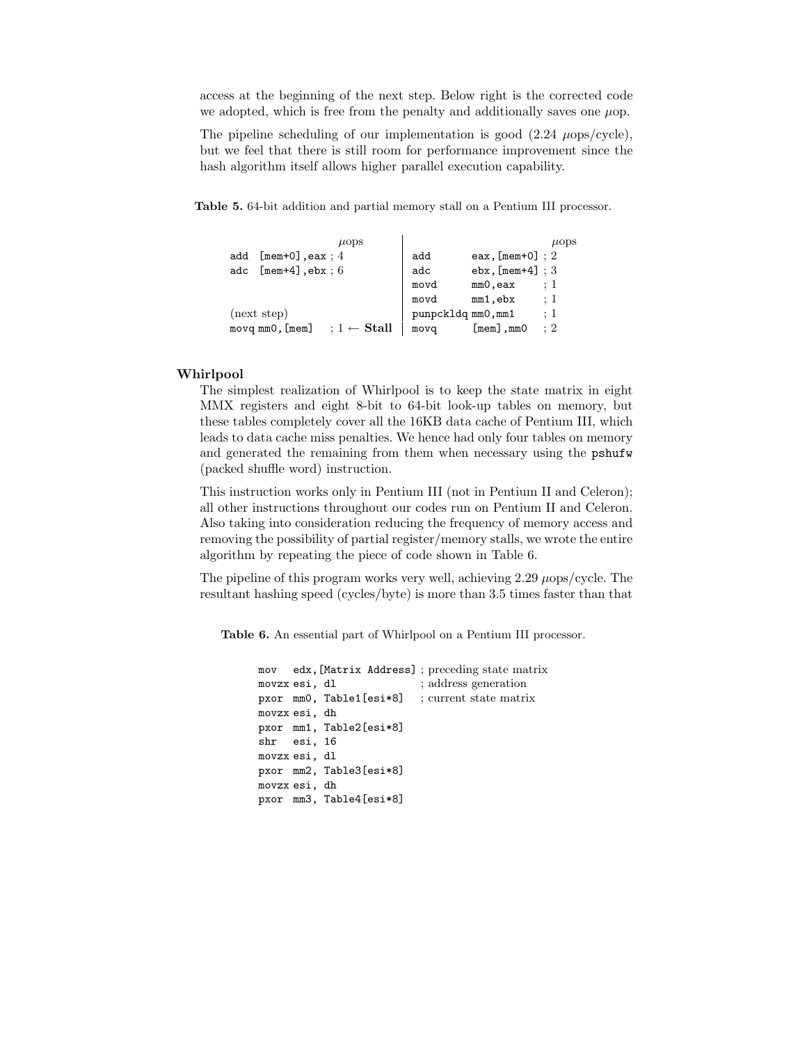access at the beginning of the next step. Below right is the corrected code we adopted, which is free from the penalty and additionally saves one  $\mu$ op.

The pipeline scheduling of our implementation is good  $(2.24 \mu \text{ops/cycle})$ , but we feel that there is still room for performance improvement since the hash algorithm itself allows higher parallel execution capability.

Table 5. 64-bit addition and partial memory stall on a Pentium III processor.

|     | $\mu$ ops                                        |      | $\mu$ ops                        |
|-----|--------------------------------------------------|------|----------------------------------|
| add | $[$ mem+0],eax; $4$                              | add  | eax, $[mem+0]$ ; 2               |
| adc | $[\texttt{mem+4}], \texttt{ebx}: 6$              | adc  | $ebx$ , [mem+4] ; 3              |
|     |                                                  | movd | : 1<br>mmO, eax                  |
|     |                                                  | movd | $\colon 1$<br>mm1,ebx            |
|     | (next step)                                      |      | $\colon 1$<br>punpckldq mm0, mm1 |
|     | $movq$ $mm0$ , $[mem]$<br>$: 1 \leftarrow$ Stall | movq | : 2<br>$[mem]$ , mm $O$          |

## Whirlpool

The simplest realization of Whirlpool is to keep the state matrix in eight MMX registers and eight 8-bit to 64-bit look-up tables on memory, but these tables completely cover all the 16KB data cache of Pentium III, which leads to data cache miss penalties. We hence had only four tables on memory and generated the remaining from them when necessary using the pshufw (packed shuffle word) instruction.

This instruction works only in Pentium III (not in Pentium II and Celeron); all other instructions throughout our codes run on Pentium II and Celeron. Also taking into consideration reducing the frequency of memory access and removing the possibility of partial register/memory stalls, we wrote the entire algorithm by repeating the piece of code shown in Table 6.

The pipeline of this program works very well, achieving  $2.29 \mu$ ops/cycle. The resultant hashing speed (cycles/byte) is more than 3.5 times faster than that

Table 6. An essential part of Whirlpool on a Pentium III processor.

```
mov edx,[Matrix Address] ; preceding state matrix
movzx esi, dl ; address generation
pxor mm0, Table1[esi*8] ; current state matrix
movzx esi, dh
pxor mm1, Table2[esi*8]
shr esi, 16
movzx esi, dl
pxor mm2, Table3[esi*8]
movzx esi, dh
pxor mm3, Table4[esi*8]
```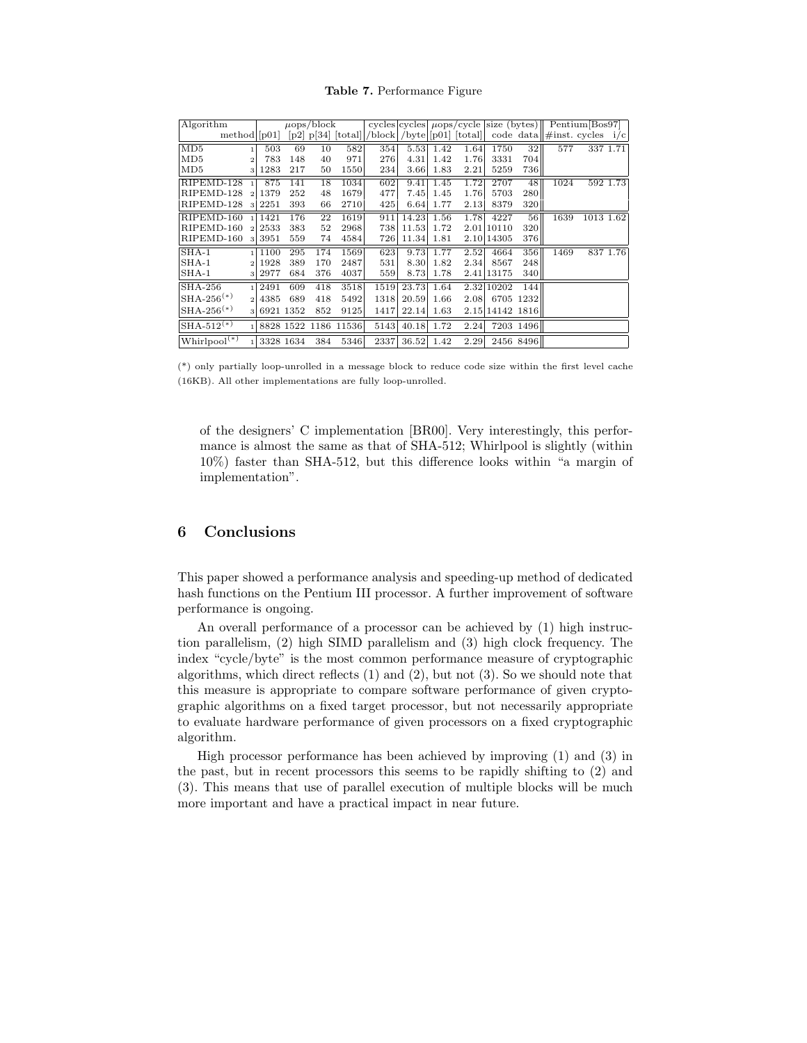Table 7. Performance Figure

| Algorithm                    |                        |           | $\mu$ ops/block |                      |                                                  |           |      |      |                 |                  | cycles cycles $\mu$ ops/cycle size (bytes) Pentium $\lceil \text{Bos} 97 \rceil$ |           |          |
|------------------------------|------------------------|-----------|-----------------|----------------------|--------------------------------------------------|-----------|------|------|-----------------|------------------|----------------------------------------------------------------------------------|-----------|----------|
| $\text{method}$ [p01]        |                        |           |                 |                      | $[p2]$ p[34] [total] /block /byte] [p01] [total] |           |      |      |                 |                  | code data $\#$ inst. cycles $i/c$                                                |           |          |
| MD5<br>1                     | 503                    | 69        | 10              | 582                  | 354                                              | 5.53      | 1.42 | 1.64 | 1750            | 32               | 577                                                                              |           | 337 1.71 |
| MD5<br>$\overline{2}$        | 783                    | 148       | 40              | 971                  | 276                                              | 4.31      | 1.42 | 1.76 | 3331            | 704              |                                                                                  |           |          |
| MD5<br>3                     | 1283                   | 217       | 50              | 1550                 | 234                                              | 3.66      | 1.83 | 2.21 | 5259            | 736 <sub>I</sub> |                                                                                  |           |          |
| RIPEMD-128                   | 875                    | 141       | 18              | 1034                 | 602                                              | 9.41      | 1.45 | 1.72 | 2707            | 48               | 1024                                                                             |           | 592 1.73 |
| RIPEMD-128<br>$\overline{2}$ | 1379                   | 252       | 48              | 1679                 | 477                                              | 7.45      | 1.45 | 1.76 | 5703            | 280              |                                                                                  |           |          |
| RIPEMD-128<br>3              | 2251                   | 393       | 66              | 2710                 | 425                                              | 6.64      | 1.77 | 2.13 | 8379            | 320              |                                                                                  |           |          |
| RIPEMD-160                   | 1421                   | 176       | 22              | 1619                 | 911                                              | 14.23     | 1.56 | 1.78 | 4227            | 56               | 1639                                                                             | 1013 1.62 |          |
| RIPEMD-160                   | 2533<br>$\overline{2}$ | 383       | 52              | 2968                 |                                                  | 738 11.53 | 1.72 |      | 2.01 10110      | 320              |                                                                                  |           |          |
| RIPEMD-160<br>3              | 3951                   | 559       | 74              | 4584                 | 726                                              | 11.34     | 1.81 |      | 2.10 14305      | 376              |                                                                                  |           |          |
| $SHA-1$                      | 1100                   | 295       | 174             | 1569                 | 623                                              | 9.73      | 1.77 | 2.52 | 4664            | 356              | 1469                                                                             |           | 837 1.76 |
| $SHA-1$                      | 1928<br>$\mathcal{D}$  | 389       | 170             | 2487                 | 531                                              | 8.30      | 1.82 | 2.34 | 8567            | 248              |                                                                                  |           |          |
| $SHA-1$<br>3                 | 2977                   | 684       | 376             | 4037                 | 559                                              | 8.73      | 1.78 |      | 2.41 13175      | 340              |                                                                                  |           |          |
| $SHA-256$                    | 2491<br>$\blacksquare$ | 609       | 418             | 3518                 | 1519                                             | 23.73     | 1.64 |      | 2.32 10202      | 144              |                                                                                  |           |          |
| $SHA-256^{(*)}$              | 4385<br>$\overline{2}$ | 689       | 418             | 5492                 | 1318                                             | 20.59     | 1.66 | 2.08 |                 | 6705 1232        |                                                                                  |           |          |
| $SHA-256^{(*)}$              | 3                      | 6921 1352 | 852             | 9125                 | 1417                                             | 22.14     | 1.63 |      | 2.15 14142 1816 |                  |                                                                                  |           |          |
| $SHA-512^{(*)}$              |                        |           |                 | 8828 1522 1186 11536 | 5143                                             | 40.18     | 1.72 | 2.24 |                 | 7203 1496        |                                                                                  |           |          |
| Whirlpool <sup>(*)</sup>     |                        | 3328 1634 | 384             | 5346                 | 2337                                             | 36.52     | 1.42 | 2.29 |                 | 2456 8496        |                                                                                  |           |          |

(\*) only partially loop-unrolled in a message block to reduce code size within the first level cache (16KB). All other implementations are fully loop-unrolled.

of the designers' C implementation [BR00]. Very interestingly, this performance is almost the same as that of SHA-512; Whirlpool is slightly (within 10%) faster than SHA-512, but this difference looks within "a margin of implementation".

# 6 Conclusions

This paper showed a performance analysis and speeding-up method of dedicated hash functions on the Pentium III processor. A further improvement of software performance is ongoing.

An overall performance of a processor can be achieved by (1) high instruction parallelism, (2) high SIMD parallelism and (3) high clock frequency. The index "cycle/byte" is the most common performance measure of cryptographic algorithms, which direct reflects (1) and (2), but not (3). So we should note that this measure is appropriate to compare software performance of given cryptographic algorithms on a fixed target processor, but not necessarily appropriate to evaluate hardware performance of given processors on a fixed cryptographic algorithm.

High processor performance has been achieved by improving (1) and (3) in the past, but in recent processors this seems to be rapidly shifting to (2) and (3). This means that use of parallel execution of multiple blocks will be much more important and have a practical impact in near future.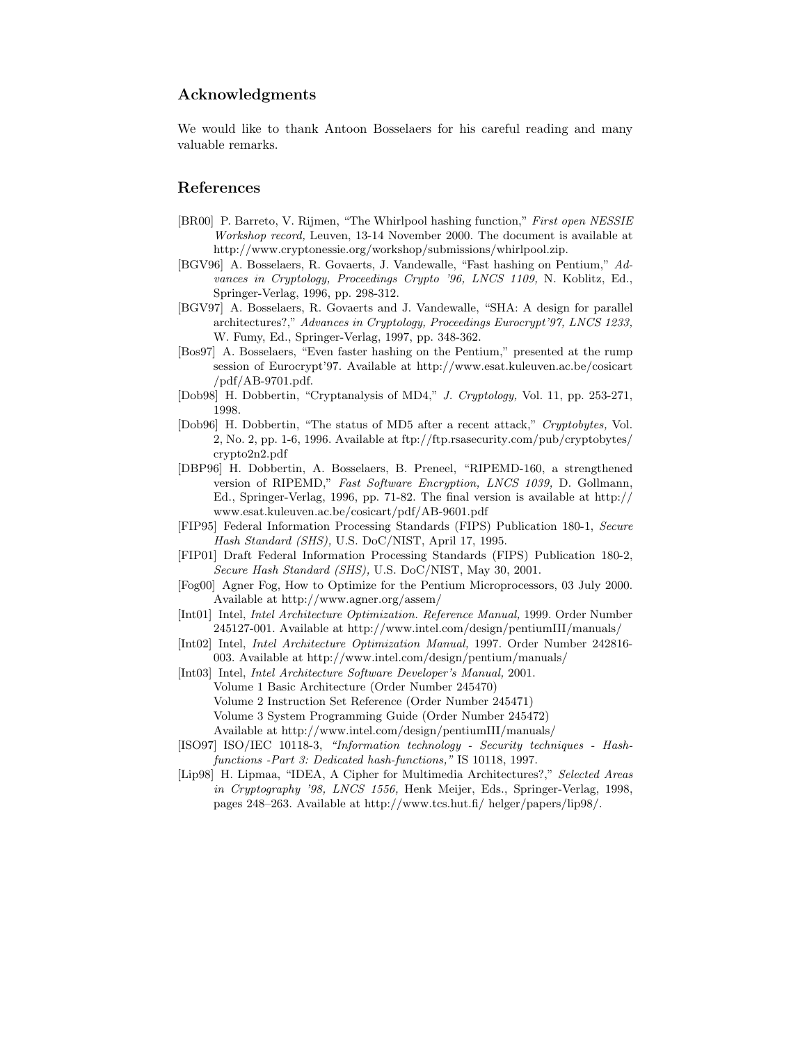# Acknowledgments

We would like to thank Antoon Bosselaers for his careful reading and many valuable remarks.

# References

- [BR00] P. Barreto, V. Rijmen, "The Whirlpool hashing function," First open NESSIE Workshop record, Leuven, 13-14 November 2000. The document is available at http://www.cryptonessie.org/workshop/submissions/whirlpool.zip.
- [BGV96] A. Bosselaers, R. Govaerts, J. Vandewalle, "Fast hashing on Pentium," Advances in Cryptology, Proceedings Crypto '96, LNCS 1109, N. Koblitz, Ed., Springer-Verlag, 1996, pp. 298-312.
- [BGV97] A. Bosselaers, R. Govaerts and J. Vandewalle, "SHA: A design for parallel architectures?," Advances in Cryptology, Proceedings Eurocrypt'97, LNCS 1233, W. Fumy, Ed., Springer-Verlag, 1997, pp. 348-362.
- [Bos97] A. Bosselaers, "Even faster hashing on the Pentium," presented at the rump session of Eurocrypt'97. Available at http://www.esat.kuleuven.ac.be/cosicart /pdf/AB-9701.pdf.
- [Dob98] H. Dobbertin, "Cryptanalysis of MD4," J. Cryptology, Vol. 11, pp. 253-271, 1998.
- [Dob96] H. Dobbertin, "The status of MD5 after a recent attack," Cryptobytes, Vol. 2, No. 2, pp. 1-6, 1996. Available at ftp://ftp.rsasecurity.com/pub/cryptobytes/ crypto2n2.pdf
- [DBP96] H. Dobbertin, A. Bosselaers, B. Preneel, "RIPEMD-160, a strengthened version of RIPEMD," Fast Software Encryption, LNCS 1039, D. Gollmann, Ed., Springer-Verlag, 1996, pp. 71-82. The final version is available at http:// www.esat.kuleuven.ac.be/cosicart/pdf/AB-9601.pdf
- [FIP95] Federal Information Processing Standards (FIPS) Publication 180-1, Secure Hash Standard (SHS), U.S. DoC/NIST, April 17, 1995.
- [FIP01] Draft Federal Information Processing Standards (FIPS) Publication 180-2, Secure Hash Standard (SHS), U.S. DoC/NIST, May 30, 2001.
- [Fog00] Agner Fog, How to Optimize for the Pentium Microprocessors, 03 July 2000. Available at http://www.agner.org/assem/
- [Int01] Intel, Intel Architecture Optimization. Reference Manual, 1999. Order Number 245127-001. Available at http://www.intel.com/design/pentiumIII/manuals/
- [Int02] Intel, Intel Architecture Optimization Manual, 1997. Order Number 242816- 003. Available at http://www.intel.com/design/pentium/manuals/
- [Int03] Intel, *Intel Architecture Software Developer's Manual*, 2001. Volume 1 Basic Architecture (Order Number 245470) Volume 2 Instruction Set Reference (Order Number 245471) Volume 3 System Programming Guide (Order Number 245472) Available at http://www.intel.com/design/pentiumIII/manuals/
- [ISO97] ISO/IEC 10118-3, "Information technology Security techniques Hashfunctions -Part 3: Dedicated hash-functions," IS 10118, 1997.
- [Lip98] H. Lipmaa, "IDEA, A Cipher for Multimedia Architectures?," Selected Areas in Cryptography '98, LNCS 1556, Henk Meijer, Eds., Springer-Verlag, 1998, pages 248–263. Available at http://www.tcs.hut.fi/ helger/papers/lip98/.